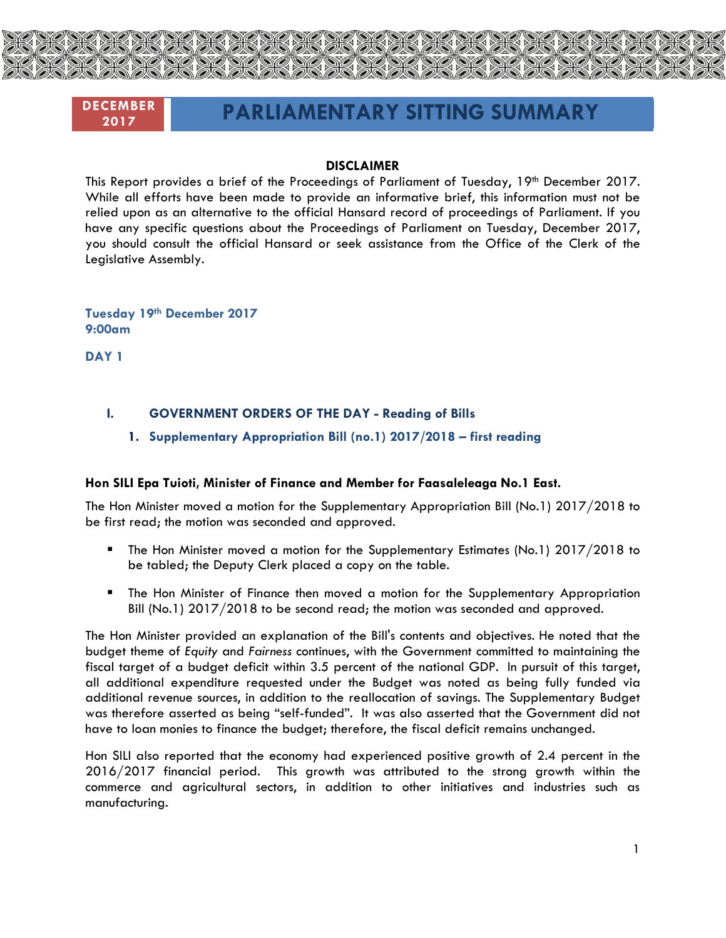

# **DECEMBER**

# **<sup>2017</sup> PARLIAMENTARY SITTING SUMMARY**

#### **DISCLAIMER**

This Report provides a brief of the Proceedings of Parliament of Tuesday, 19th December 2017. While all efforts have been made to provide an informative brief, this information must not be relied upon as an alternative to the official Hansard record of proceedings of Parliament. If you have any specific questions about the Proceedings of Parliament on Tuesday, December 2017, you should consult the official Hansard or seek assistance from the Office of the Clerk of the Legislative Assembly.

**Tuesday 19th December 2017 9:00am**

**DAY 1**

# **I. GOVERNMENT ORDERS OF THE DAY - Reading of Bills**

**1. Supplementary Appropriation Bill (no.1) 2017/2018 – first reading**

# **Hon SILI Epa Tuioti, Minister of Finance and Member for Faasaleleaga No.1 East.**

The Hon Minister moved a motion for the Supplementary Appropriation Bill (No.1) 2017/2018 to be first read; the motion was seconded and approved.

- The Hon Minister moved a motion for the Supplementary Estimates (No.1) 2017/2018 to be tabled; the Deputy Clerk placed a copy on the table.
- The Hon Minister of Finance then moved a motion for the Supplementary Appropriation Bill (No.1) 2017/2018 to be second read; the motion was seconded and approved.

The Hon Minister provided an explanation of the Bill's contents and objectives. He noted that the budget theme of *Equity* and *Fairness* continues, with the Government committed to maintaining the fiscal target of a budget deficit within 3.5 percent of the national GDP. In pursuit of this target, all additional expenditure requested under the Budget was noted as being fully funded via additional revenue sources, in addition to the reallocation of savings. The Supplementary Budget was therefore asserted as being "self-funded". It was also asserted that the Government did not have to loan monies to finance the budget; therefore, the fiscal deficit remains unchanged.

Hon SILI also reported that the economy had experienced positive growth of 2.4 percent in the 2016/2017 financial period. This growth was attributed to the strong growth within the commerce and agricultural sectors, in addition to other initiatives and industries such as manufacturing.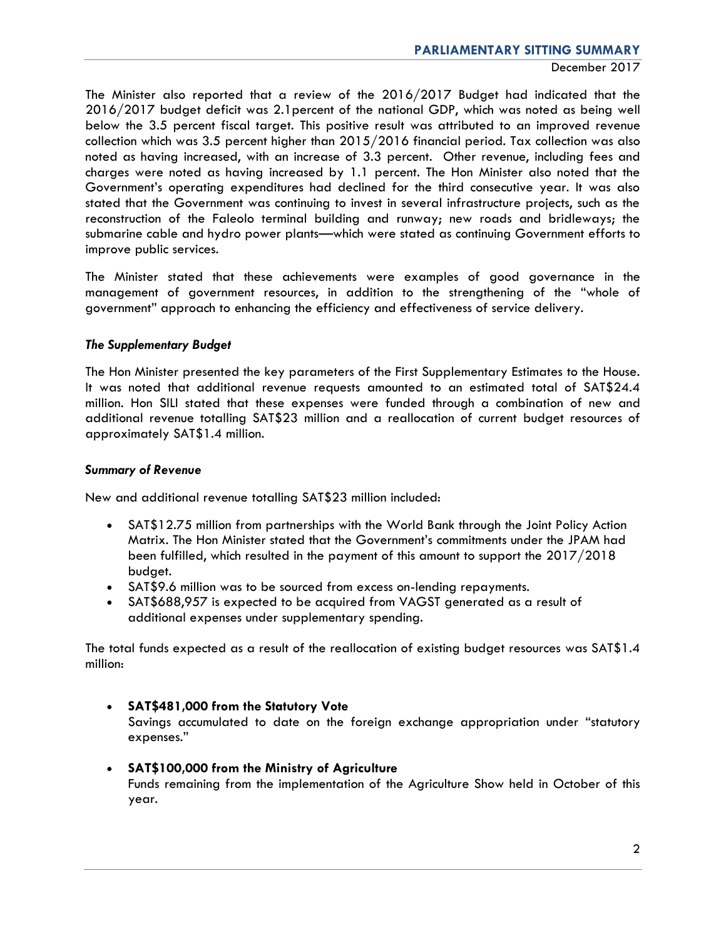The Minister also reported that a review of the 2016/2017 Budget had indicated that the 2016/2017 budget deficit was 2.1percent of the national GDP, which was noted as being well below the 3.5 percent fiscal target. This positive result was attributed to an improved revenue collection which was 3.5 percent higher than 2015/2016 financial period. Tax collection was also noted as having increased, with an increase of 3.3 percent. Other revenue, including fees and charges were noted as having increased by 1.1 percent. The Hon Minister also noted that the Government's operating expenditures had declined for the third consecutive year. It was also stated that the Government was continuing to invest in several infrastructure projects, such as the reconstruction of the Faleolo terminal building and runway; new roads and bridleways; the submarine cable and hydro power plants—which were stated as continuing Government efforts to improve public services.

The Minister stated that these achievements were examples of good governance in the management of government resources, in addition to the strengthening of the "whole of government" approach to enhancing the efficiency and effectiveness of service delivery.

# *The Supplementary Budget*

The Hon Minister presented the key parameters of the First Supplementary Estimates to the House. It was noted that additional revenue requests amounted to an estimated total of SAT\$24.4 million. Hon SILI stated that these expenses were funded through a combination of new and additional revenue totalling SAT\$23 million and a reallocation of current budget resources of approximately SAT\$1.4 million.

#### *Summary of Revenue*

New and additional revenue totalling SAT\$23 million included:

- SAT\$12.75 million from partnerships with the World Bank through the Joint Policy Action Matrix. The Hon Minister stated that the Government's commitments under the JPAM had been fulfilled, which resulted in the payment of this amount to support the 2017/2018 budget.
- SAT\$9.6 million was to be sourced from excess on-lending repayments.
- SAT\$688,957 is expected to be acquired from VAGST generated as a result of additional expenses under supplementary spending.

The total funds expected as a result of the reallocation of existing budget resources was SAT\$1.4 million:

- **SAT\$481,000 from the Statutory Vote** Savings accumulated to date on the foreign exchange appropriation under "statutory expenses."
- **SAT\$100,000 from the Ministry of Agriculture** Funds remaining from the implementation of the Agriculture Show held in October of this year.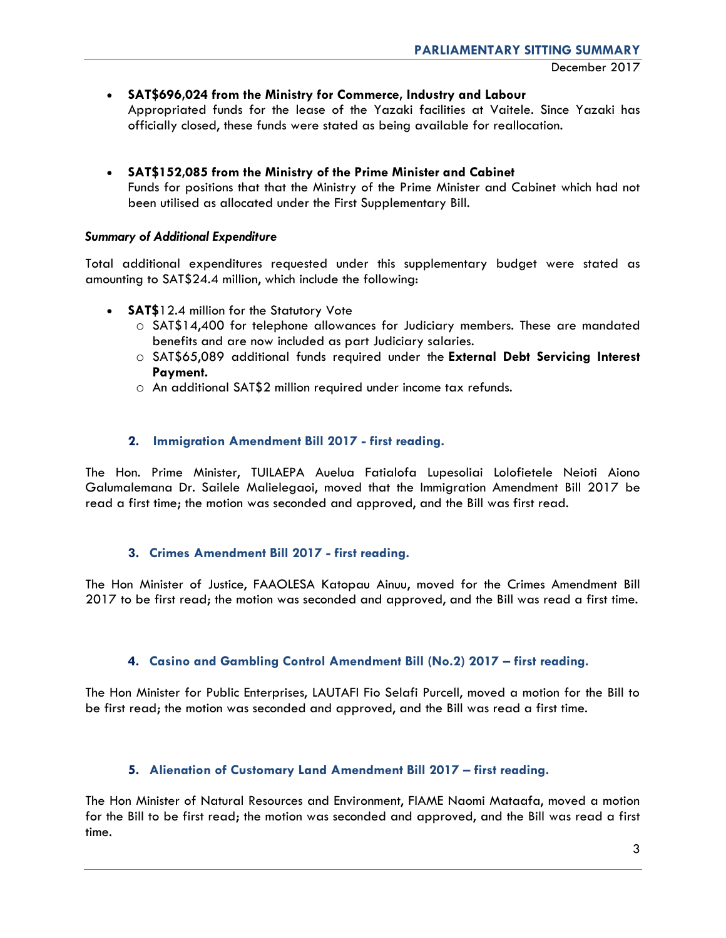**SAT\$696,024 from the Ministry for Commerce, Industry and Labour**

Appropriated funds for the lease of the Yazaki facilities at Vaitele. Since Yazaki has officially closed, these funds were stated as being available for reallocation.

 **SAT\$152,085 from the Ministry of the Prime Minister and Cabinet** Funds for positions that that the Ministry of the Prime Minister and Cabinet which had not been utilised as allocated under the First Supplementary Bill.

#### *Summary of Additional Expenditure*

Total additional expenditures requested under this supplementary budget were stated as amounting to SAT\$24.4 million, which include the following:

- **SAT\$**12.4 million for the Statutory Vote
	- o SAT\$14,400 for telephone allowances for Judiciary members. These are mandated benefits and are now included as part Judiciary salaries.
	- o SAT\$65,089 additional funds required under the **External Debt Servicing Interest Payment.**
	- o An additional SAT\$2 million required under income tax refunds.

# **2. Immigration Amendment Bill 2017 - first reading.**

The Hon. Prime Minister, TUILAEPA Auelua Fatialofa Lupesoliai Lolofietele Neioti Aiono Galumalemana Dr. Sailele Malielegaoi, moved that the Immigration Amendment Bill 2017 be read a first time; the motion was seconded and approved, and the Bill was first read.

# **3. Crimes Amendment Bill 2017 - first reading.**

The Hon Minister of Justice, FAAOLESA Katopau Ainuu, moved for the Crimes Amendment Bill 2017 to be first read; the motion was seconded and approved, and the Bill was read a first time.

# **4. Casino and Gambling Control Amendment Bill (No.2) 2017 – first reading.**

The Hon Minister for Public Enterprises, LAUTAFI Fio Selafi Purcell, moved a motion for the Bill to be first read; the motion was seconded and approved, and the Bill was read a first time.

# **5. Alienation of Customary Land Amendment Bill 2017 – first reading.**

The Hon Minister of Natural Resources and Environment, FIAME Naomi Mataafa, moved a motion for the Bill to be first read; the motion was seconded and approved, and the Bill was read a first time.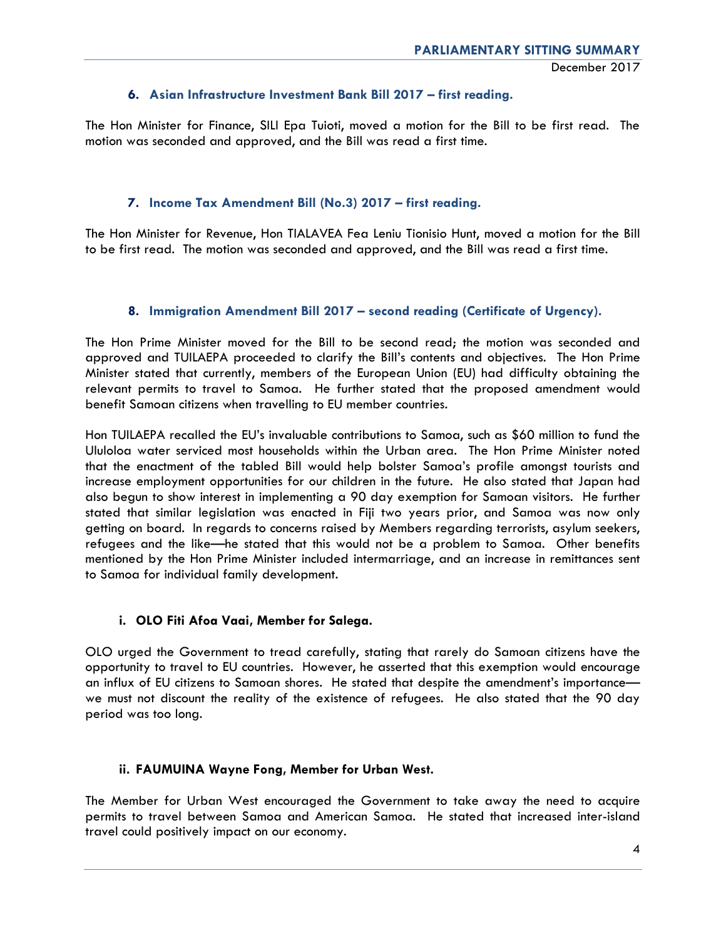# **6. Asian Infrastructure Investment Bank Bill 2017 – first reading.**

The Hon Minister for Finance, SILI Epa Tuioti, moved a motion for the Bill to be first read. The motion was seconded and approved, and the Bill was read a first time.

# **7. Income Tax Amendment Bill (No.3) 2017 – first reading.**

The Hon Minister for Revenue, Hon TIALAVEA Fea Leniu Tionisio Hunt, moved a motion for the Bill to be first read. The motion was seconded and approved, and the Bill was read a first time.

# **8. Immigration Amendment Bill 2017 – second reading (Certificate of Urgency).**

The Hon Prime Minister moved for the Bill to be second read; the motion was seconded and approved and TUILAEPA proceeded to clarify the Bill's contents and objectives. The Hon Prime Minister stated that currently, members of the European Union (EU) had difficulty obtaining the relevant permits to travel to Samoa. He further stated that the proposed amendment would benefit Samoan citizens when travelling to EU member countries.

Hon TUILAEPA recalled the EU's invaluable contributions to Samoa, such as \$60 million to fund the Ululoloa water serviced most households within the Urban area. The Hon Prime Minister noted that the enactment of the tabled Bill would help bolster Samoa's profile amongst tourists and increase employment opportunities for our children in the future. He also stated that Japan had also begun to show interest in implementing a 90 day exemption for Samoan visitors. He further stated that similar legislation was enacted in Fiji two years prior, and Samoa was now only getting on board. In regards to concerns raised by Members regarding terrorists, asylum seekers, refugees and the like—he stated that this would not be a problem to Samoa. Other benefits mentioned by the Hon Prime Minister included intermarriage, and an increase in remittances sent to Samoa for individual family development.

# **i. OLO Fiti Afoa Vaai, Member for Salega.**

OLO urged the Government to tread carefully, stating that rarely do Samoan citizens have the opportunity to travel to EU countries. However, he asserted that this exemption would encourage an influx of EU citizens to Samoan shores. He stated that despite the amendment's importance we must not discount the reality of the existence of refugees. He also stated that the 90 day period was too long.

# **ii. FAUMUINA Wayne Fong, Member for Urban West.**

The Member for Urban West encouraged the Government to take away the need to acquire permits to travel between Samoa and American Samoa. He stated that increased inter-island travel could positively impact on our economy.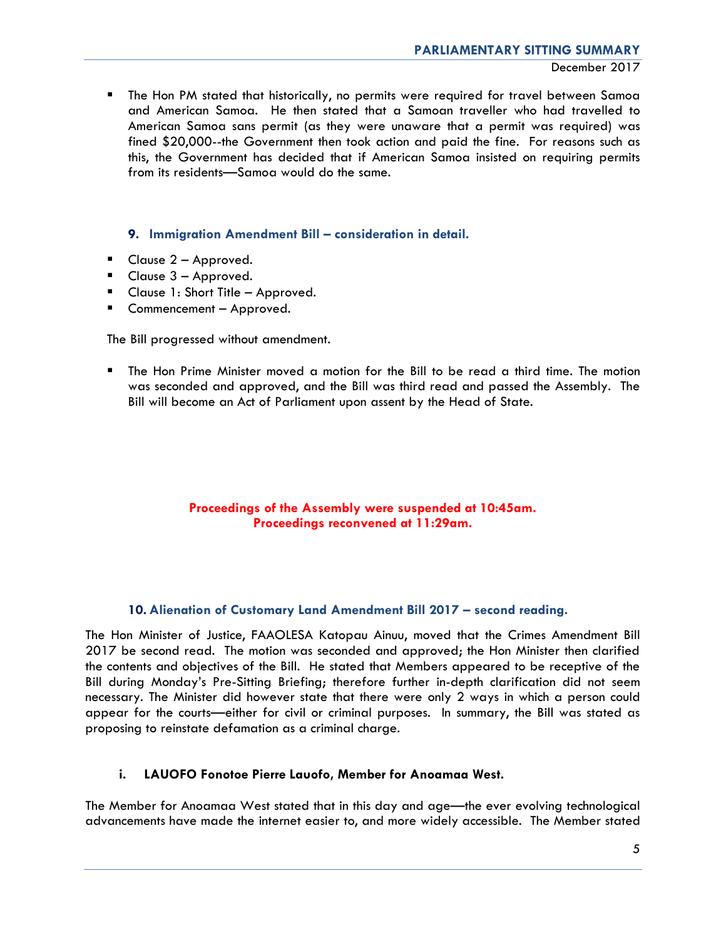December 2017

**The Hon PM stated that historically, no permits were required for travel between Samoa** and American Samoa. He then stated that a Samoan traveller who had travelled to American Samoa sans permit (as they were unaware that a permit was required) was fined \$20,000--the Government then took action and paid the fine. For reasons such as this, the Government has decided that if American Samoa insisted on requiring permits from its residents—Samoa would do the same.

# **9. Immigration Amendment Bill – consideration in detail.**

- Clause 2 Approved.
- $\blacksquare$  Clause  $3 -$  Approved.
- **Clause 1: Short Title Approved.**
- Commencement Approved.

The Bill progressed without amendment.

 The Hon Prime Minister moved a motion for the Bill to be read a third time. The motion was seconded and approved, and the Bill was third read and passed the Assembly. The Bill will become an Act of Parliament upon assent by the Head of State.

# **Proceedings of the Assembly were suspended at 10:45am. Proceedings reconvened at 11:29am.**

# **10. Alienation of Customary Land Amendment Bill 2017 – second reading.**

The Hon Minister of Justice, FAAOLESA Katopau Ainuu, moved that the Crimes Amendment Bill 2017 be second read. The motion was seconded and approved; the Hon Minister then clarified the contents and objectives of the Bill. He stated that Members appeared to be receptive of the Bill during Monday's Pre-Sitting Briefing; therefore further in-depth clarification did not seem necessary. The Minister did however state that there were only 2 ways in which a person could appear for the courts—either for civil or criminal purposes. In summary, the Bill was stated as proposing to reinstate defamation as a criminal charge.

# **i. LAUOFO Fonotoe Pierre Lauofo, Member for Anoamaa West.**

The Member for Anoamaa West stated that in this day and age—the ever evolving technological advancements have made the internet easier to, and more widely accessible. The Member stated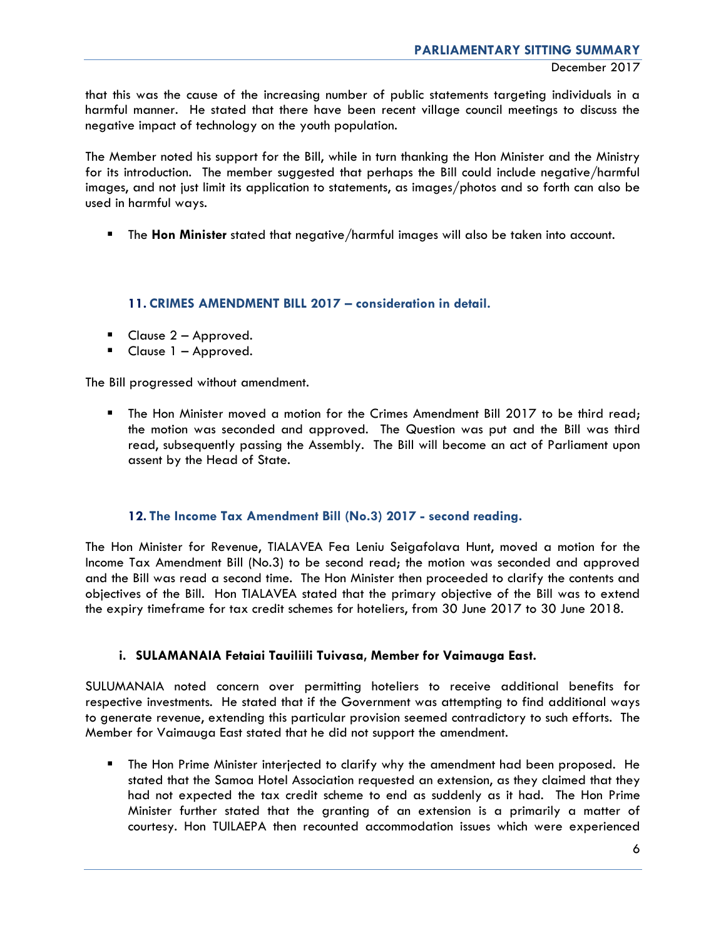that this was the cause of the increasing number of public statements targeting individuals in a harmful manner. He stated that there have been recent village council meetings to discuss the negative impact of technology on the youth population.

The Member noted his support for the Bill, while in turn thanking the Hon Minister and the Ministry for its introduction. The member suggested that perhaps the Bill could include negative/harmful images, and not just limit its application to statements, as images/photos and so forth can also be used in harmful ways.

The **Hon Minister** stated that negative/harmful images will also be taken into account.

**11. CRIMES AMENDMENT BILL 2017 – consideration in detail.**

- **Clause 2 Approved.**
- Clause 1 Approved.

The Bill progressed without amendment.

**The Hon Minister moved a motion for the Crimes Amendment Bill 2017 to be third read;** the motion was seconded and approved. The Question was put and the Bill was third read, subsequently passing the Assembly. The Bill will become an act of Parliament upon assent by the Head of State.

# **12. The Income Tax Amendment Bill (No.3) 2017 - second reading.**

The Hon Minister for Revenue, TIALAVEA Fea Leniu Seigafolava Hunt, moved a motion for the Income Tax Amendment Bill (No.3) to be second read; the motion was seconded and approved and the Bill was read a second time. The Hon Minister then proceeded to clarify the contents and objectives of the Bill. Hon TIALAVEA stated that the primary objective of the Bill was to extend the expiry timeframe for tax credit schemes for hoteliers, from 30 June 2017 to 30 June 2018.

# **i. SULAMANAIA Fetaiai Tauiliili Tuivasa, Member for Vaimauga East.**

SULUMANAIA noted concern over permitting hoteliers to receive additional benefits for respective investments. He stated that if the Government was attempting to find additional ways to generate revenue, extending this particular provision seemed contradictory to such efforts. The Member for Vaimauga East stated that he did not support the amendment.

 The Hon Prime Minister interjected to clarify why the amendment had been proposed. He stated that the Samoa Hotel Association requested an extension, as they claimed that they had not expected the tax credit scheme to end as suddenly as it had. The Hon Prime Minister further stated that the granting of an extension is a primarily a matter of courtesy. Hon TUILAEPA then recounted accommodation issues which were experienced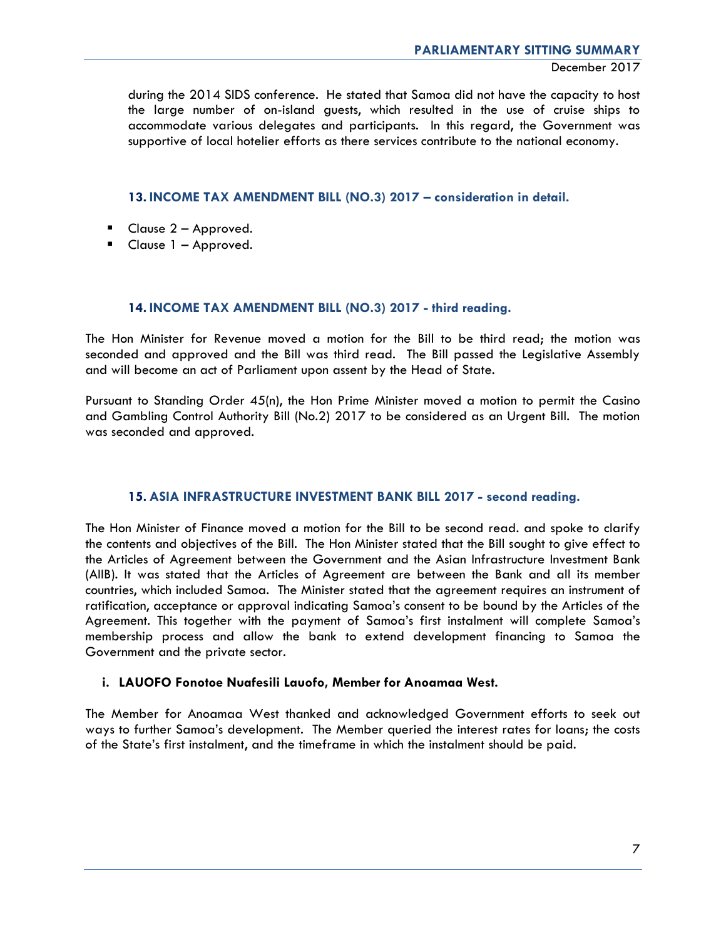during the 2014 SIDS conference. He stated that Samoa did not have the capacity to host the large number of on-island guests, which resulted in the use of cruise ships to accommodate various delegates and participants. In this regard, the Government was supportive of local hotelier efforts as there services contribute to the national economy.

# **13. INCOME TAX AMENDMENT BILL (NO.3) 2017 – consideration in detail.**

- $\blacksquare$  Clause 2 Approved.
- Clause 1 Approved.

# **14. INCOME TAX AMENDMENT BILL (NO.3) 2017 - third reading.**

The Hon Minister for Revenue moved a motion for the Bill to be third read; the motion was seconded and approved and the Bill was third read. The Bill passed the Legislative Assembly and will become an act of Parliament upon assent by the Head of State.

Pursuant to Standing Order 45(n), the Hon Prime Minister moved a motion to permit the Casino and Gambling Control Authority Bill (No.2) 2017 to be considered as an Urgent Bill. The motion was seconded and approved.

# **15. ASIA INFRASTRUCTURE INVESTMENT BANK BILL 2017 - second reading.**

The Hon Minister of Finance moved a motion for the Bill to be second read. and spoke to clarify the contents and objectives of the Bill. The Hon Minister stated that the Bill sought to give effect to the Articles of Agreement between the Government and the Asian Infrastructure Investment Bank (AIIB). It was stated that the Articles of Agreement are between the Bank and all its member countries, which included Samoa. The Minister stated that the agreement requires an instrument of ratification, acceptance or approval indicating Samoa's consent to be bound by the Articles of the Agreement. This together with the payment of Samoa's first instalment will complete Samoa's membership process and allow the bank to extend development financing to Samoa the Government and the private sector.

# **i. LAUOFO Fonotoe Nuafesili Lauofo, Member for Anoamaa West.**

The Member for Anoamaa West thanked and acknowledged Government efforts to seek out ways to further Samoa's development. The Member queried the interest rates for loans; the costs of the State's first instalment, and the timeframe in which the instalment should be paid.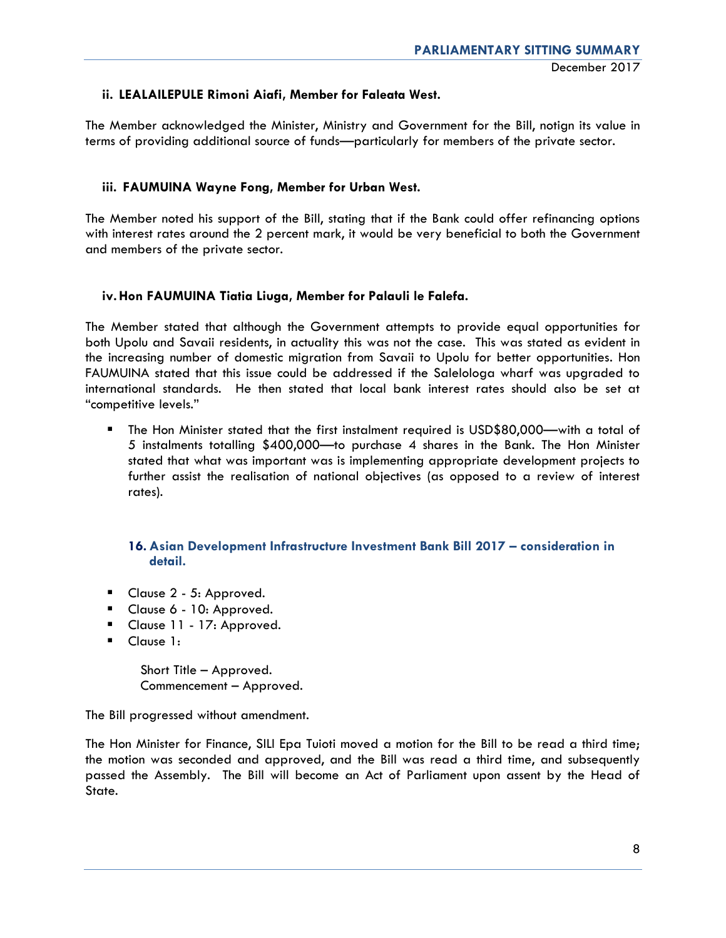# **ii. LEALAILEPULE Rimoni Aiafi, Member for Faleata West.**

The Member acknowledged the Minister, Ministry and Government for the Bill, notign its value in terms of providing additional source of funds—particularly for members of the private sector.

# **iii. FAUMUINA Wayne Fong, Member for Urban West.**

The Member noted his support of the Bill, stating that if the Bank could offer refinancing options with interest rates around the 2 percent mark, it would be very beneficial to both the Government and members of the private sector.

# **iv.Hon FAUMUINA Tiatia Liuga, Member for Palauli le Falefa.**

The Member stated that although the Government attempts to provide equal opportunities for both Upolu and Savaii residents, in actuality this was not the case. This was stated as evident in the increasing number of domestic migration from Savaii to Upolu for better opportunities. Hon FAUMUINA stated that this issue could be addressed if the Salelologa wharf was upgraded to international standards. He then stated that local bank interest rates should also be set at "competitive levels."

 The Hon Minister stated that the first instalment required is USD\$80,000—with a total of 5 instalments totalling \$400,000—to purchase 4 shares in the Bank. The Hon Minister stated that what was important was is implementing appropriate development projects to further assist the realisation of national objectives (as opposed to a review of interest rates).

# **16. Asian Development Infrastructure Investment Bank Bill 2017 – consideration in detail.**

- Clause 2 5: Approved.
- Clause 6 10: Approved.
- Clause 11 17: Approved.
- Clause 1:

 Short Title – Approved. Commencement – Approved.

The Bill progressed without amendment.

The Hon Minister for Finance, SILI Epa Tuioti moved a motion for the Bill to be read a third time; the motion was seconded and approved, and the Bill was read a third time, and subsequently passed the Assembly. The Bill will become an Act of Parliament upon assent by the Head of State.